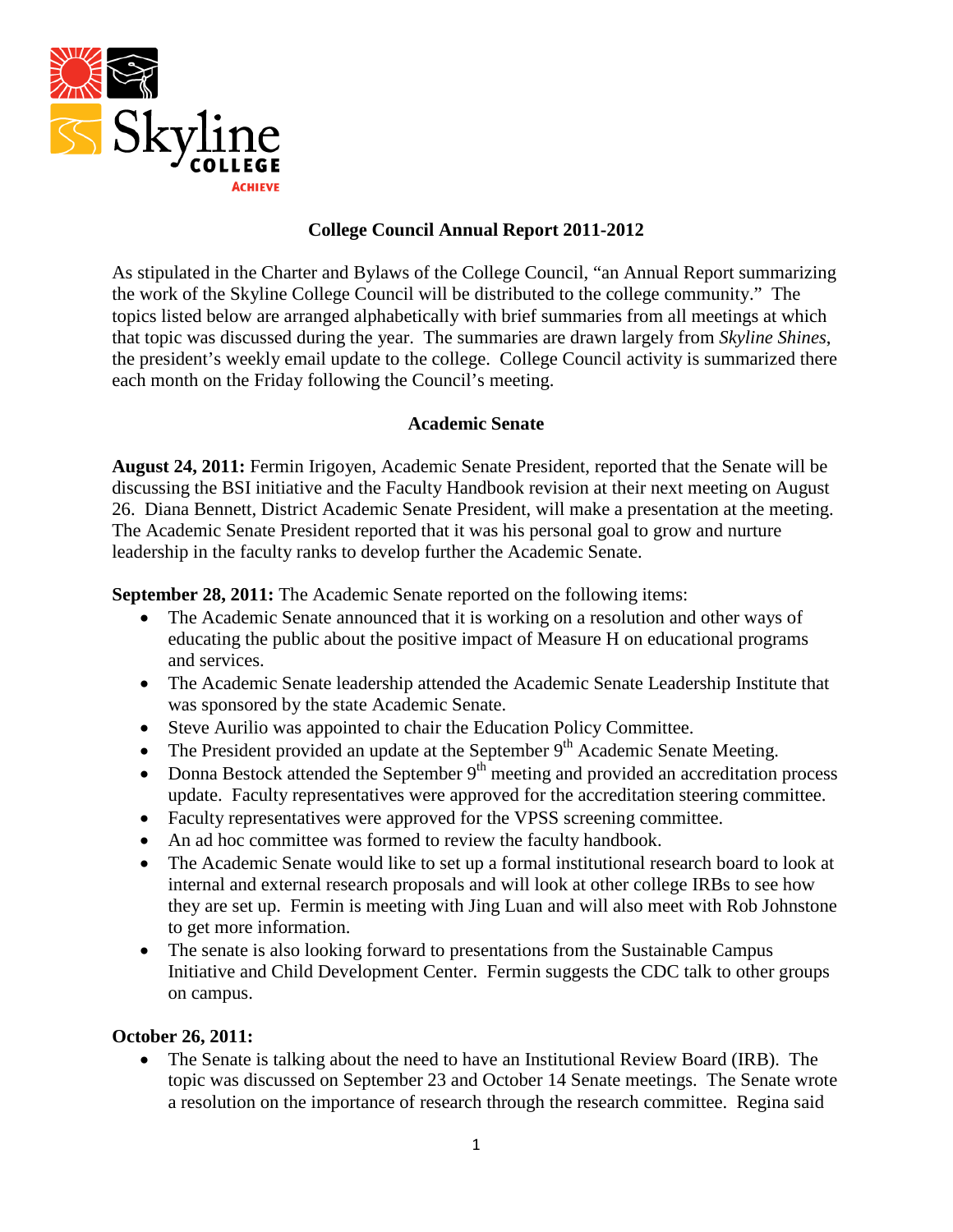

### **College Council Annual Report 2011-2012**

As stipulated in the Charter and Bylaws of the College Council, "an Annual Report summarizing the work of the Skyline College Council will be distributed to the college community." The topics listed below are arranged alphabetically with brief summaries from all meetings at which that topic was discussed during the year. The summaries are drawn largely from *Skyline Shines*, the president's weekly email update to the college. College Council activity is summarized there each month on the Friday following the Council's meeting.

### **Academic Senate**

**August 24, 2011:** Fermin Irigoyen, Academic Senate President, reported that the Senate will be discussing the BSI initiative and the Faculty Handbook revision at their next meeting on August 26. Diana Bennett, District Academic Senate President, will make a presentation at the meeting. The Academic Senate President reported that it was his personal goal to grow and nurture leadership in the faculty ranks to develop further the Academic Senate.

**September 28, 2011:** The Academic Senate reported on the following items:

- The Academic Senate announced that it is working on a resolution and other ways of educating the public about the positive impact of Measure H on educational programs and services.
- The Academic Senate leadership attended the Academic Senate Leadership Institute that was sponsored by the state Academic Senate.
- Steve Aurilio was appointed to chair the Education Policy Committee.
- The President provided an update at the September 9<sup>th</sup> Academic Senate Meeting.
- Donna Bestock attended the September  $9<sup>th</sup>$  meeting and provided an accreditation process update. Faculty representatives were approved for the accreditation steering committee.
- Faculty representatives were approved for the VPSS screening committee.
- An ad hoc committee was formed to review the faculty handbook.
- The Academic Senate would like to set up a formal institutional research board to look at internal and external research proposals and will look at other college IRBs to see how they are set up. Fermin is meeting with Jing Luan and will also meet with Rob Johnstone to get more information.
- The senate is also looking forward to presentations from the Sustainable Campus Initiative and Child Development Center. Fermin suggests the CDC talk to other groups on campus.

#### **October 26, 2011:**

• The Senate is talking about the need to have an Institutional Review Board (IRB). The topic was discussed on September 23 and October 14 Senate meetings. The Senate wrote a resolution on the importance of research through the research committee. Regina said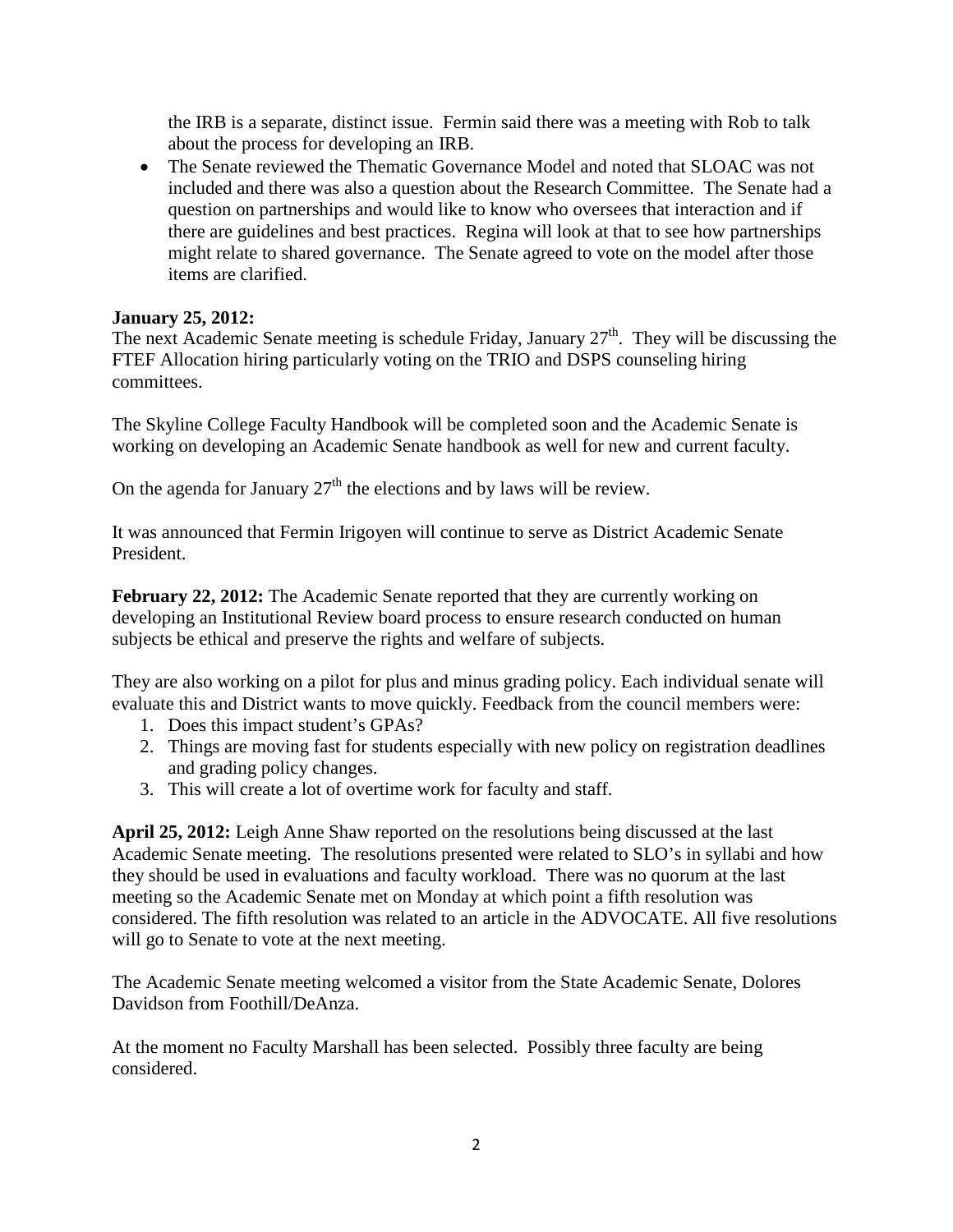the IRB is a separate, distinct issue. Fermin said there was a meeting with Rob to talk about the process for developing an IRB.

• The Senate reviewed the Thematic Governance Model and noted that SLOAC was not included and there was also a question about the Research Committee. The Senate had a question on partnerships and would like to know who oversees that interaction and if there are guidelines and best practices. Regina will look at that to see how partnerships might relate to shared governance. The Senate agreed to vote on the model after those items are clarified.

## **January 25, 2012:**

The next Academic Senate meeting is schedule Friday, January  $27<sup>th</sup>$ . They will be discussing the FTEF Allocation hiring particularly voting on the TRIO and DSPS counseling hiring committees.

The Skyline College Faculty Handbook will be completed soon and the Academic Senate is working on developing an Academic Senate handbook as well for new and current faculty.

On the agenda for January  $27<sup>th</sup>$  the elections and by laws will be review.

It was announced that Fermin Irigoyen will continue to serve as District Academic Senate President.

**February 22, 2012:** The Academic Senate reported that they are currently working on developing an Institutional Review board process to ensure research conducted on human subjects be ethical and preserve the rights and welfare of subjects.

They are also working on a pilot for plus and minus grading policy. Each individual senate will evaluate this and District wants to move quickly. Feedback from the council members were:

- 1. Does this impact student's GPAs?
- 2. Things are moving fast for students especially with new policy on registration deadlines and grading policy changes.
- 3. This will create a lot of overtime work for faculty and staff.

**April 25, 2012:** Leigh Anne Shaw reported on the resolutions being discussed at the last Academic Senate meeting. The resolutions presented were related to SLO's in syllabi and how they should be used in evaluations and faculty workload. There was no quorum at the last meeting so the Academic Senate met on Monday at which point a fifth resolution was considered. The fifth resolution was related to an article in the ADVOCATE. All five resolutions will go to Senate to vote at the next meeting.

The Academic Senate meeting welcomed a visitor from the State Academic Senate, Dolores Davidson from Foothill/DeAnza.

At the moment no Faculty Marshall has been selected. Possibly three faculty are being considered.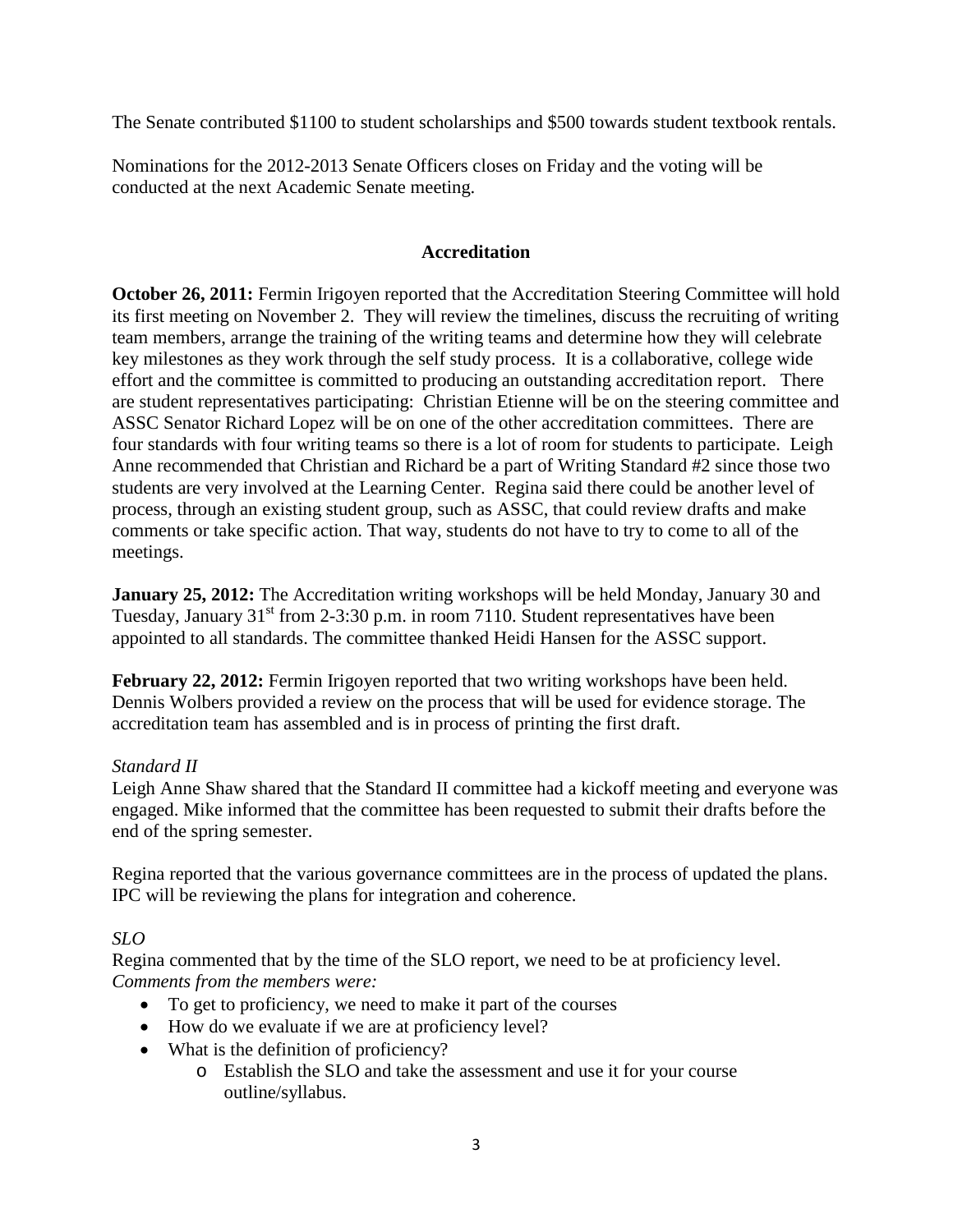The Senate contributed \$1100 to student scholarships and \$500 towards student textbook rentals.

Nominations for the 2012-2013 Senate Officers closes on Friday and the voting will be conducted at the next Academic Senate meeting.

# **Accreditation**

**October 26, 2011:** Fermin Irigoyen reported that the Accreditation Steering Committee will hold its first meeting on November 2. They will review the timelines, discuss the recruiting of writing team members, arrange the training of the writing teams and determine how they will celebrate key milestones as they work through the self study process. It is a collaborative, college wide effort and the committee is committed to producing an outstanding accreditation report. There are student representatives participating: Christian Etienne will be on the steering committee and ASSC Senator Richard Lopez will be on one of the other accreditation committees. There are four standards with four writing teams so there is a lot of room for students to participate. Leigh Anne recommended that Christian and Richard be a part of Writing Standard #2 since those two students are very involved at the Learning Center. Regina said there could be another level of process, through an existing student group, such as ASSC, that could review drafts and make comments or take specific action. That way, students do not have to try to come to all of the meetings.

**January 25, 2012:** The Accreditation writing workshops will be held Monday, January 30 and Tuesday, January  $31<sup>st</sup>$  from 2-3:30 p.m. in room 7110. Student representatives have been appointed to all standards. The committee thanked Heidi Hansen for the ASSC support.

**February 22, 2012:** Fermin Irigoyen reported that two writing workshops have been held. Dennis Wolbers provided a review on the process that will be used for evidence storage. The accreditation team has assembled and is in process of printing the first draft.

## *Standard II*

Leigh Anne Shaw shared that the Standard II committee had a kickoff meeting and everyone was engaged. Mike informed that the committee has been requested to submit their drafts before the end of the spring semester.

Regina reported that the various governance committees are in the process of updated the plans. IPC will be reviewing the plans for integration and coherence.

## *SLO*

Regina commented that by the time of the SLO report, we need to be at proficiency level. *Comments from the members were:*

- To get to proficiency, we need to make it part of the courses
- How do we evaluate if we are at proficiency level?
- What is the definition of proficiency?
	- o Establish the SLO and take the assessment and use it for your course outline/syllabus.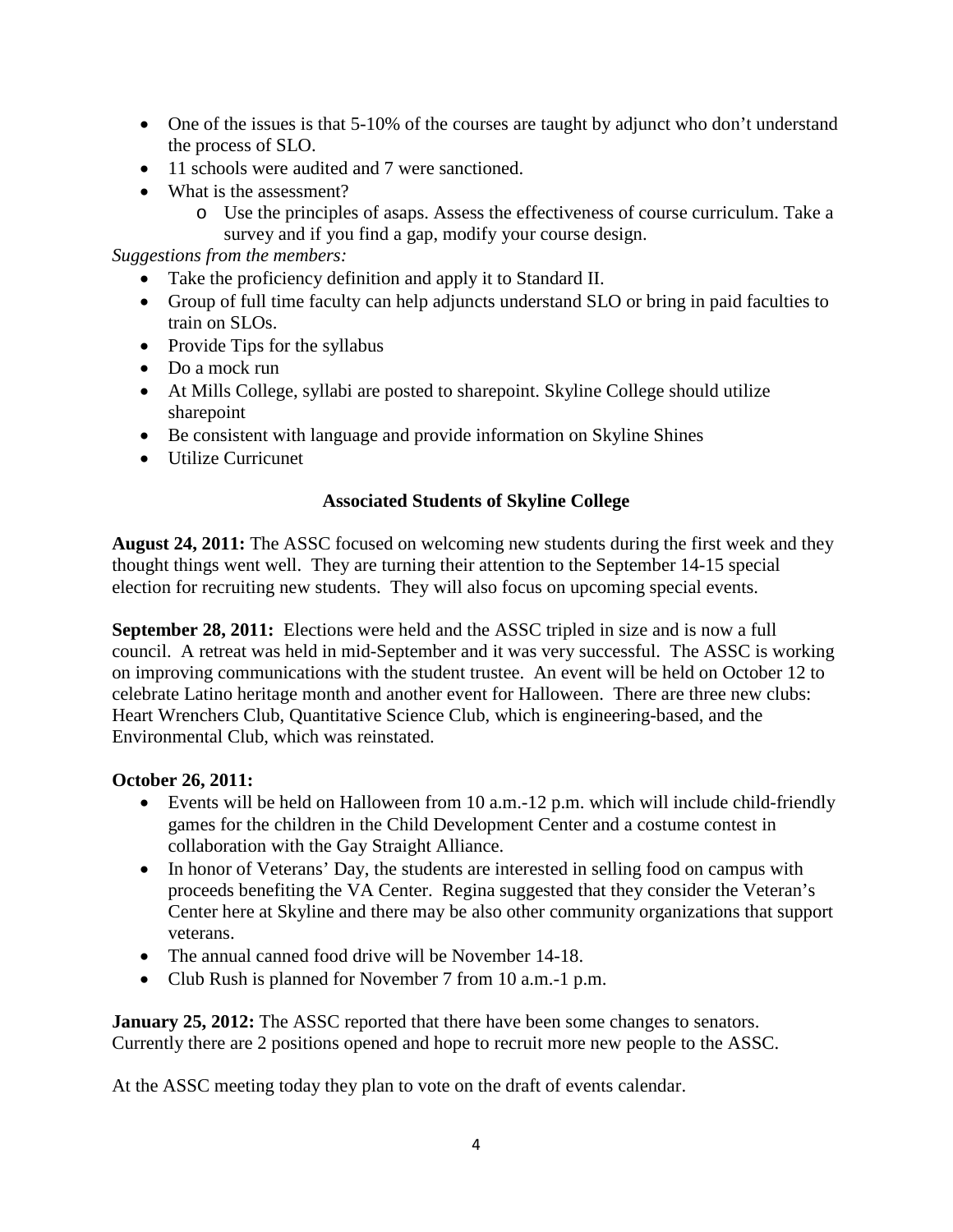- One of the issues is that 5-10% of the courses are taught by adjunct who don't understand the process of SLO.
- 11 schools were audited and 7 were sanctioned.
- What is the assessment?
	- o Use the principles of asaps. Assess the effectiveness of course curriculum. Take a survey and if you find a gap, modify your course design.

*Suggestions from the members:*

- Take the proficiency definition and apply it to Standard II.
- Group of full time faculty can help adjuncts understand SLO or bring in paid faculties to train on SLOs.
- Provide Tips for the syllabus
- Do a mock run
- At Mills College, syllabi are posted to sharepoint. Skyline College should utilize sharepoint
- Be consistent with language and provide information on Skyline Shines
- Utilize Curricunet

## **Associated Students of Skyline College**

**August 24, 2011:** The ASSC focused on welcoming new students during the first week and they thought things went well. They are turning their attention to the September 14-15 special election for recruiting new students. They will also focus on upcoming special events.

**September 28, 2011:** Elections were held and the ASSC tripled in size and is now a full council. A retreat was held in mid-September and it was very successful. The ASSC is working on improving communications with the student trustee. An event will be held on October 12 to celebrate Latino heritage month and another event for Halloween. There are three new clubs: Heart Wrenchers Club, Quantitative Science Club, which is engineering-based, and the Environmental Club, which was reinstated.

#### **October 26, 2011:**

- Events will be held on Halloween from 10 a.m.-12 p.m. which will include child-friendly games for the children in the Child Development Center and a costume contest in collaboration with the Gay Straight Alliance.
- In honor of Veterans' Day, the students are interested in selling food on campus with proceeds benefiting the VA Center. Regina suggested that they consider the Veteran's Center here at Skyline and there may be also other community organizations that support veterans.
- The annual canned food drive will be November 14-18.
- Club Rush is planned for November 7 from 10 a.m.-1 p.m.

**January 25, 2012:** The ASSC reported that there have been some changes to senators. Currently there are 2 positions opened and hope to recruit more new people to the ASSC.

At the ASSC meeting today they plan to vote on the draft of events calendar.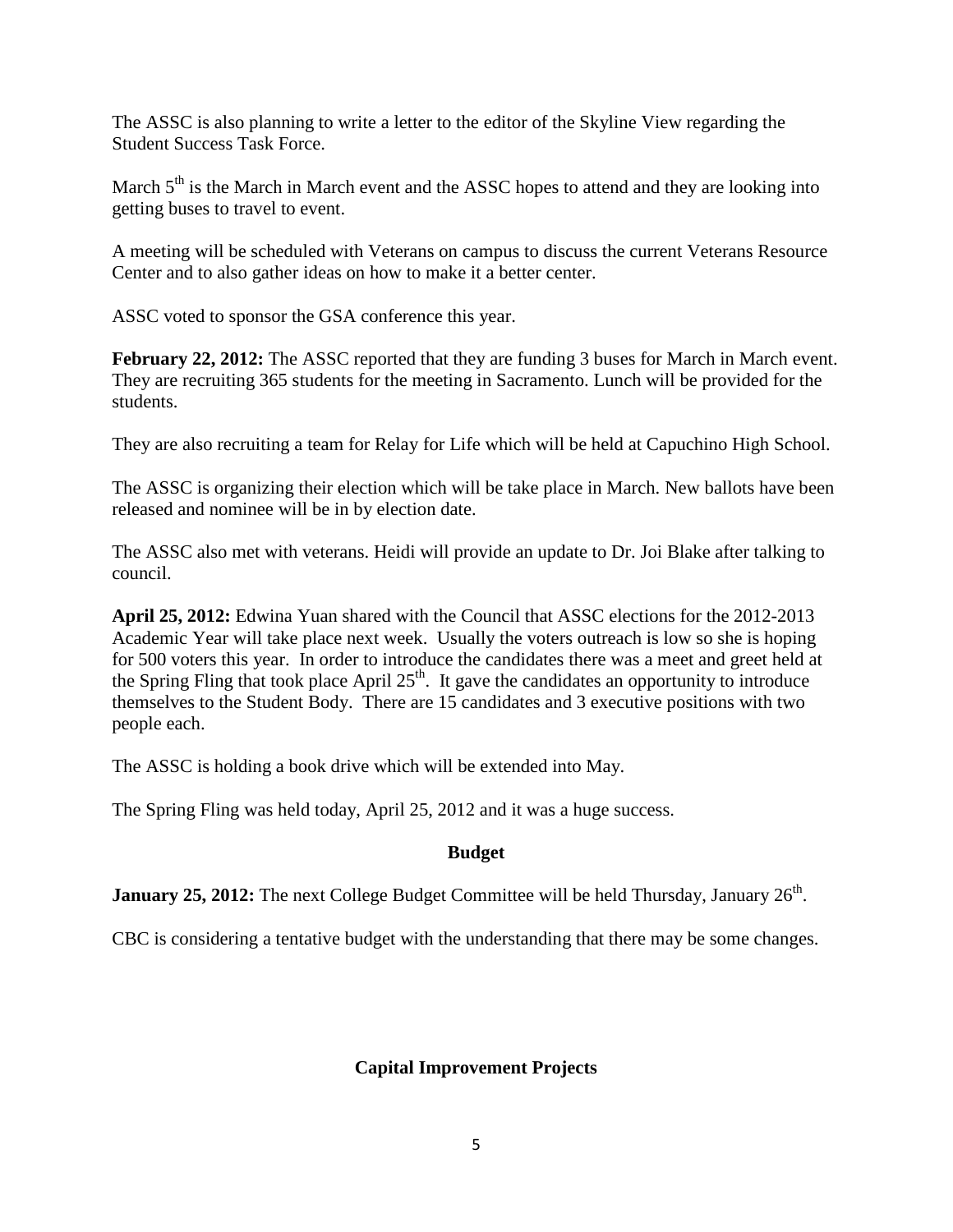The ASSC is also planning to write a letter to the editor of the Skyline View regarding the Student Success Task Force.

March  $5<sup>th</sup>$  is the March in March event and the ASSC hopes to attend and they are looking into getting buses to travel to event.

A meeting will be scheduled with Veterans on campus to discuss the current Veterans Resource Center and to also gather ideas on how to make it a better center.

ASSC voted to sponsor the GSA conference this year.

February 22, 2012: The ASSC reported that they are funding 3 buses for March in March event. They are recruiting 365 students for the meeting in Sacramento. Lunch will be provided for the students.

They are also recruiting a team for Relay for Life which will be held at Capuchino High School.

The ASSC is organizing their election which will be take place in March. New ballots have been released and nominee will be in by election date.

The ASSC also met with veterans. Heidi will provide an update to Dr. Joi Blake after talking to council.

**April 25, 2012:** Edwina Yuan shared with the Council that ASSC elections for the 2012-2013 Academic Year will take place next week. Usually the voters outreach is low so she is hoping for 500 voters this year. In order to introduce the candidates there was a meet and greet held at the Spring Fling that took place April  $25<sup>th</sup>$ . It gave the candidates an opportunity to introduce themselves to the Student Body. There are 15 candidates and 3 executive positions with two people each.

The ASSC is holding a book drive which will be extended into May.

The Spring Fling was held today, April 25, 2012 and it was a huge success.

## **Budget**

**January 25, 2012:** The next College Budget Committee will be held Thursday, January 26<sup>th</sup>.

CBC is considering a tentative budget with the understanding that there may be some changes.

## **Capital Improvement Projects**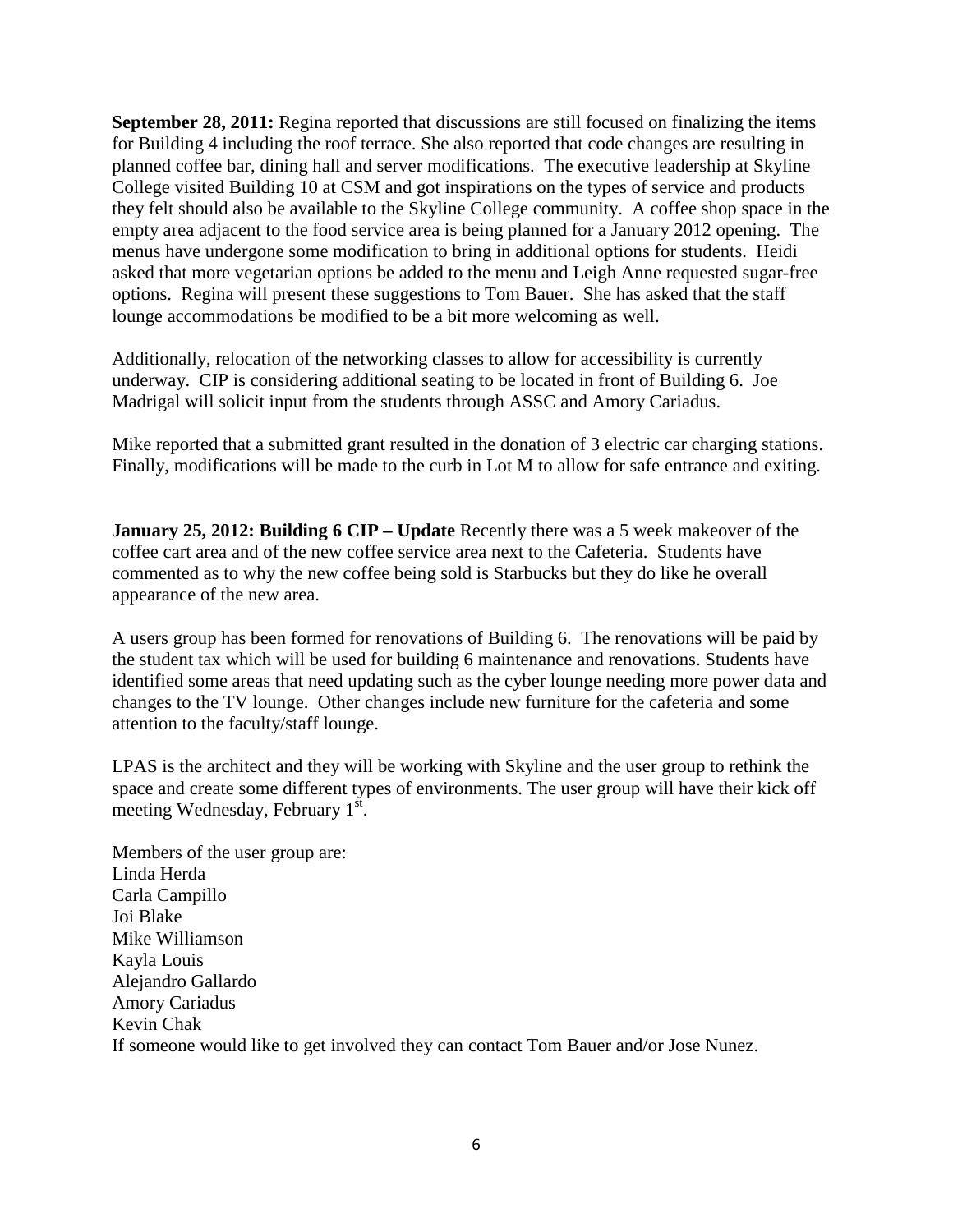**September 28, 2011:** Regina reported that discussions are still focused on finalizing the items for Building 4 including the roof terrace. She also reported that code changes are resulting in planned coffee bar, dining hall and server modifications. The executive leadership at Skyline College visited Building 10 at CSM and got inspirations on the types of service and products they felt should also be available to the Skyline College community. A coffee shop space in the empty area adjacent to the food service area is being planned for a January 2012 opening. The menus have undergone some modification to bring in additional options for students. Heidi asked that more vegetarian options be added to the menu and Leigh Anne requested sugar-free options. Regina will present these suggestions to Tom Bauer. She has asked that the staff lounge accommodations be modified to be a bit more welcoming as well.

Additionally, relocation of the networking classes to allow for accessibility is currently underway. CIP is considering additional seating to be located in front of Building 6. Joe Madrigal will solicit input from the students through ASSC and Amory Cariadus.

Mike reported that a submitted grant resulted in the donation of 3 electric car charging stations. Finally, modifications will be made to the curb in Lot M to allow for safe entrance and exiting.

**January 25, 2012: Building 6 CIP – Update** Recently there was a 5 week makeover of the coffee cart area and of the new coffee service area next to the Cafeteria. Students have commented as to why the new coffee being sold is Starbucks but they do like he overall appearance of the new area.

A users group has been formed for renovations of Building 6. The renovations will be paid by the student tax which will be used for building 6 maintenance and renovations. Students have identified some areas that need updating such as the cyber lounge needing more power data and changes to the TV lounge. Other changes include new furniture for the cafeteria and some attention to the faculty/staff lounge.

LPAS is the architect and they will be working with Skyline and the user group to rethink the space and create some different types of environments. The user group will have their kick off meeting Wednesday, February 1st.

Members of the user group are: Linda Herda Carla Campillo Joi Blake Mike Williamson Kayla Louis Alejandro Gallardo Amory Cariadus Kevin Chak If someone would like to get involved they can contact Tom Bauer and/or Jose Nunez.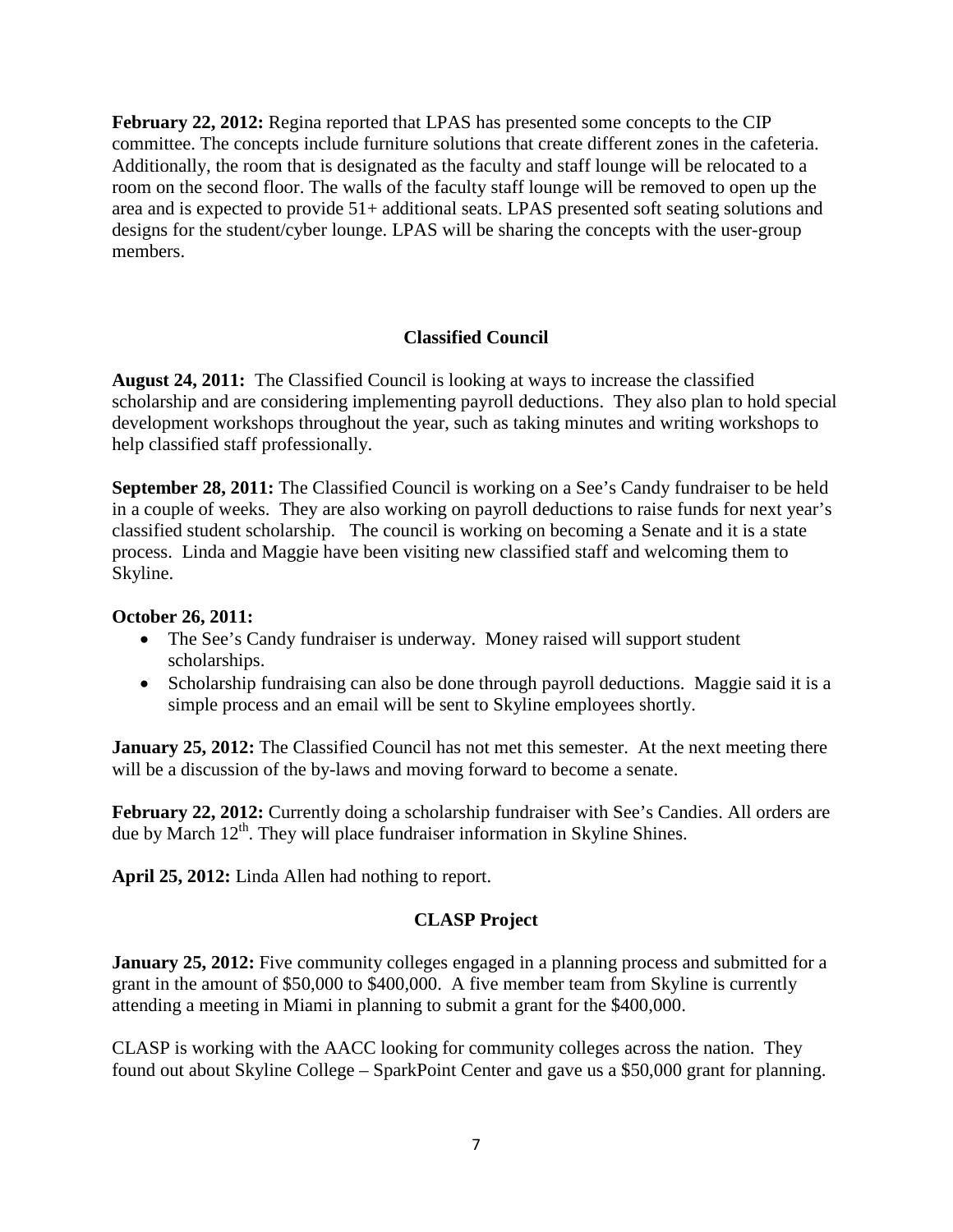**February 22, 2012:** Regina reported that LPAS has presented some concepts to the CIP committee. The concepts include furniture solutions that create different zones in the cafeteria. Additionally, the room that is designated as the faculty and staff lounge will be relocated to a room on the second floor. The walls of the faculty staff lounge will be removed to open up the area and is expected to provide 51+ additional seats. LPAS presented soft seating solutions and designs for the student/cyber lounge. LPAS will be sharing the concepts with the user-group members.

# **Classified Council**

**August 24, 2011:** The Classified Council is looking at ways to increase the classified scholarship and are considering implementing payroll deductions. They also plan to hold special development workshops throughout the year, such as taking minutes and writing workshops to help classified staff professionally.

**September 28, 2011:** The Classified Council is working on a See's Candy fundraiser to be held in a couple of weeks. They are also working on payroll deductions to raise funds for next year's classified student scholarship. The council is working on becoming a Senate and it is a state process. Linda and Maggie have been visiting new classified staff and welcoming them to Skyline.

#### **October 26, 2011:**

- The See's Candy fundraiser is underway. Money raised will support student scholarships.
- Scholarship fundraising can also be done through payroll deductions. Maggie said it is a simple process and an email will be sent to Skyline employees shortly.

**January 25, 2012:** The Classified Council has not met this semester. At the next meeting there will be a discussion of the by-laws and moving forward to become a senate.

**February 22, 2012:** Currently doing a scholarship fundraiser with See's Candies. All orders are due by March 12<sup>th</sup>. They will place fundraiser information in Skyline Shines.

**April 25, 2012:** Linda Allen had nothing to report.

## **CLASP Project**

**January 25, 2012:** Five community colleges engaged in a planning process and submitted for a grant in the amount of \$50,000 to \$400,000. A five member team from Skyline is currently attending a meeting in Miami in planning to submit a grant for the \$400,000.

CLASP is working with the AACC looking for community colleges across the nation. They found out about Skyline College – SparkPoint Center and gave us a \$50,000 grant for planning.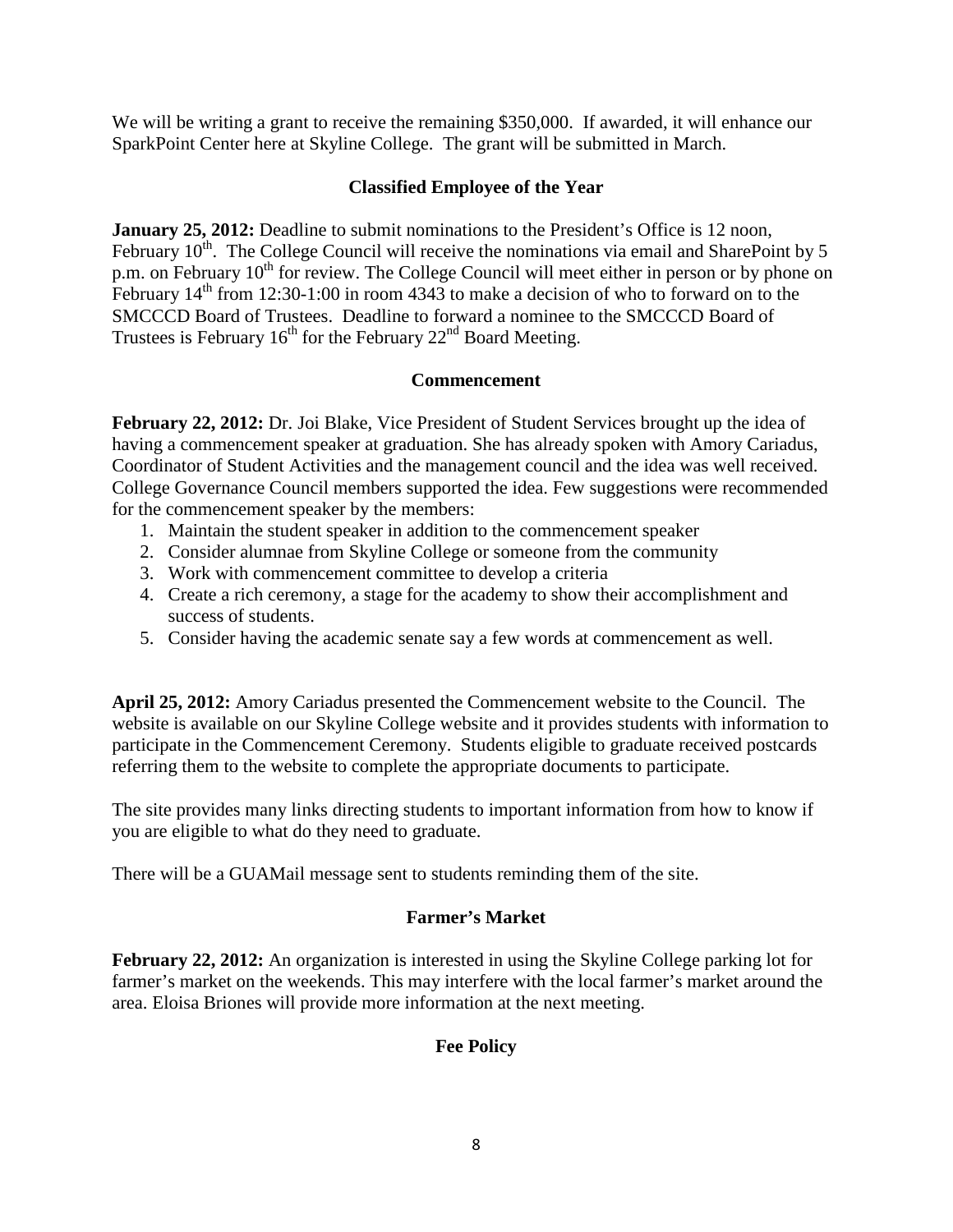We will be writing a grant to receive the remaining \$350,000. If awarded, it will enhance our SparkPoint Center here at Skyline College. The grant will be submitted in March.

### **Classified Employee of the Year**

**January 25, 2012:** Deadline to submit nominations to the President's Office is 12 noon, February  $10^{th}$ . The College Council will receive the nominations via email and SharePoint by 5 p.m. on February 10<sup>th</sup> for review. The College Council will meet either in person or by phone on February  $14<sup>th</sup>$  from 12:30-1:00 in room 4343 to make a decision of who to forward on to the SMCCCD Board of Trustees. Deadline to forward a nominee to the SMCCCD Board of Trustees is February  $16<sup>th</sup>$  for the February  $22<sup>nd</sup>$  Board Meeting.

### **Commencement**

**February 22, 2012:** Dr. Joi Blake, Vice President of Student Services brought up the idea of having a commencement speaker at graduation. She has already spoken with Amory Cariadus, Coordinator of Student Activities and the management council and the idea was well received. College Governance Council members supported the idea. Few suggestions were recommended for the commencement speaker by the members:

- 1. Maintain the student speaker in addition to the commencement speaker
- 2. Consider alumnae from Skyline College or someone from the community
- 3. Work with commencement committee to develop a criteria
- 4. Create a rich ceremony, a stage for the academy to show their accomplishment and success of students.
- 5. Consider having the academic senate say a few words at commencement as well.

**April 25, 2012:** Amory Cariadus presented the Commencement website to the Council. The website is available on our Skyline College website and it provides students with information to participate in the Commencement Ceremony. Students eligible to graduate received postcards referring them to the website to complete the appropriate documents to participate.

The site provides many links directing students to important information from how to know if you are eligible to what do they need to graduate.

There will be a GUAMail message sent to students reminding them of the site.

## **Farmer's Market**

**February 22, 2012:** An organization is interested in using the Skyline College parking lot for farmer's market on the weekends. This may interfere with the local farmer's market around the area. Eloisa Briones will provide more information at the next meeting.

## **Fee Policy**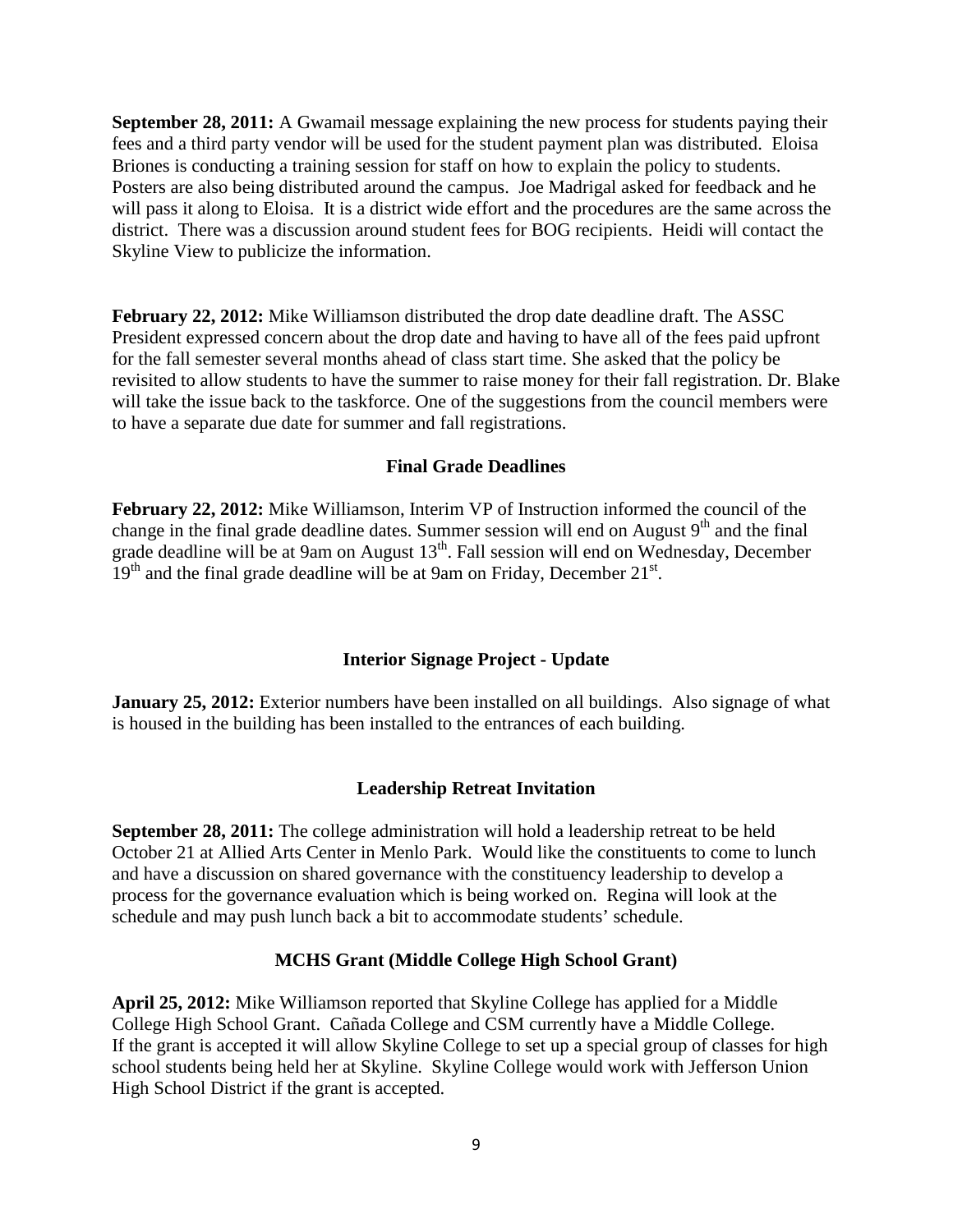**September 28, 2011:** A Gwamail message explaining the new process for students paying their fees and a third party vendor will be used for the student payment plan was distributed. Eloisa Briones is conducting a training session for staff on how to explain the policy to students. Posters are also being distributed around the campus. Joe Madrigal asked for feedback and he will pass it along to Eloisa. It is a district wide effort and the procedures are the same across the district. There was a discussion around student fees for BOG recipients. Heidi will contact the Skyline View to publicize the information.

**February 22, 2012:** Mike Williamson distributed the drop date deadline draft. The ASSC President expressed concern about the drop date and having to have all of the fees paid upfront for the fall semester several months ahead of class start time. She asked that the policy be revisited to allow students to have the summer to raise money for their fall registration. Dr. Blake will take the issue back to the taskforce. One of the suggestions from the council members were to have a separate due date for summer and fall registrations.

#### **Final Grade Deadlines**

**February 22, 2012:** Mike Williamson, Interim VP of Instruction informed the council of the change in the final grade deadline dates. Summer session will end on August  $9<sup>th</sup>$  and the final grade deadline will be at 9am on August 13<sup>th</sup>. Fall session will end on Wednesday, December  $19<sup>th</sup>$  and the final grade deadline will be at 9am on Friday, December 21 $<sup>st</sup>$ .</sup>

#### **Interior Signage Project - Update**

**January 25, 2012:** Exterior numbers have been installed on all buildings. Also signage of what is housed in the building has been installed to the entrances of each building.

#### **Leadership Retreat Invitation**

**September 28, 2011:** The college administration will hold a leadership retreat to be held October 21 at Allied Arts Center in Menlo Park. Would like the constituents to come to lunch and have a discussion on shared governance with the constituency leadership to develop a process for the governance evaluation which is being worked on. Regina will look at the schedule and may push lunch back a bit to accommodate students' schedule.

#### **MCHS Grant (Middle College High School Grant)**

**April 25, 2012:** Mike Williamson reported that Skyline College has applied for a Middle College High School Grant. Cañada College and CSM currently have a Middle College. If the grant is accepted it will allow Skyline College to set up a special group of classes for high school students being held her at Skyline. Skyline College would work with Jefferson Union High School District if the grant is accepted.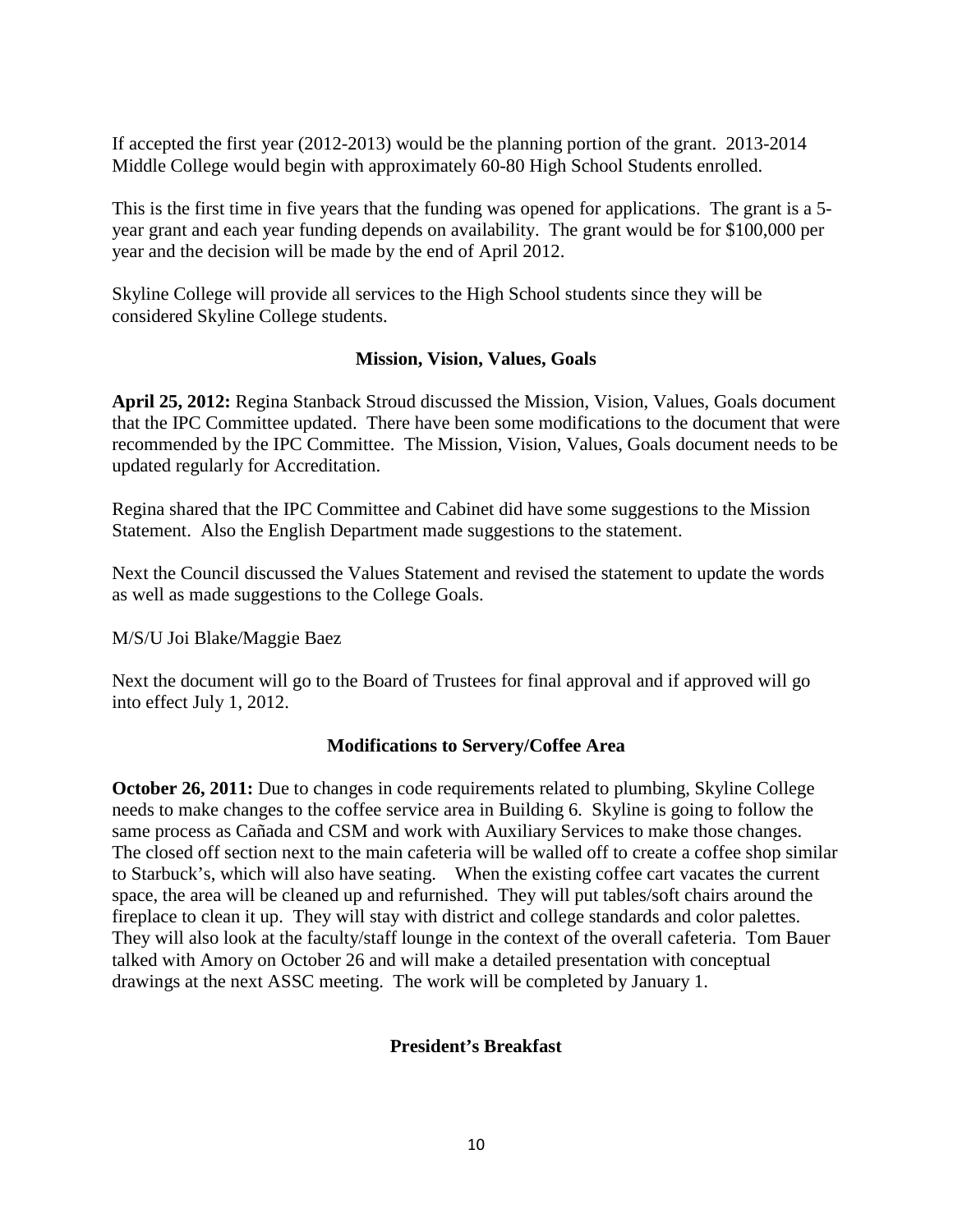If accepted the first year (2012-2013) would be the planning portion of the grant. 2013-2014 Middle College would begin with approximately 60-80 High School Students enrolled.

This is the first time in five years that the funding was opened for applications. The grant is a 5 year grant and each year funding depends on availability. The grant would be for \$100,000 per year and the decision will be made by the end of April 2012.

Skyline College will provide all services to the High School students since they will be considered Skyline College students.

#### **Mission, Vision, Values, Goals**

**April 25, 2012:** Regina Stanback Stroud discussed the Mission, Vision, Values, Goals document that the IPC Committee updated. There have been some modifications to the document that were recommended by the IPC Committee. The Mission, Vision, Values, Goals document needs to be updated regularly for Accreditation.

Regina shared that the IPC Committee and Cabinet did have some suggestions to the Mission Statement. Also the English Department made suggestions to the statement.

Next the Council discussed the Values Statement and revised the statement to update the words as well as made suggestions to the College Goals.

M/S/U Joi Blake/Maggie Baez

Next the document will go to the Board of Trustees for final approval and if approved will go into effect July 1, 2012.

#### **Modifications to Servery/Coffee Area**

**October 26, 2011:** Due to changes in code requirements related to plumbing, Skyline College needs to make changes to the coffee service area in Building 6. Skyline is going to follow the same process as Cañada and CSM and work with Auxiliary Services to make those changes. The closed off section next to the main cafeteria will be walled off to create a coffee shop similar to Starbuck's, which will also have seating. When the existing coffee cart vacates the current space, the area will be cleaned up and refurnished. They will put tables/soft chairs around the fireplace to clean it up. They will stay with district and college standards and color palettes. They will also look at the faculty/staff lounge in the context of the overall cafeteria. Tom Bauer talked with Amory on October 26 and will make a detailed presentation with conceptual drawings at the next ASSC meeting. The work will be completed by January 1.

#### **President's Breakfast**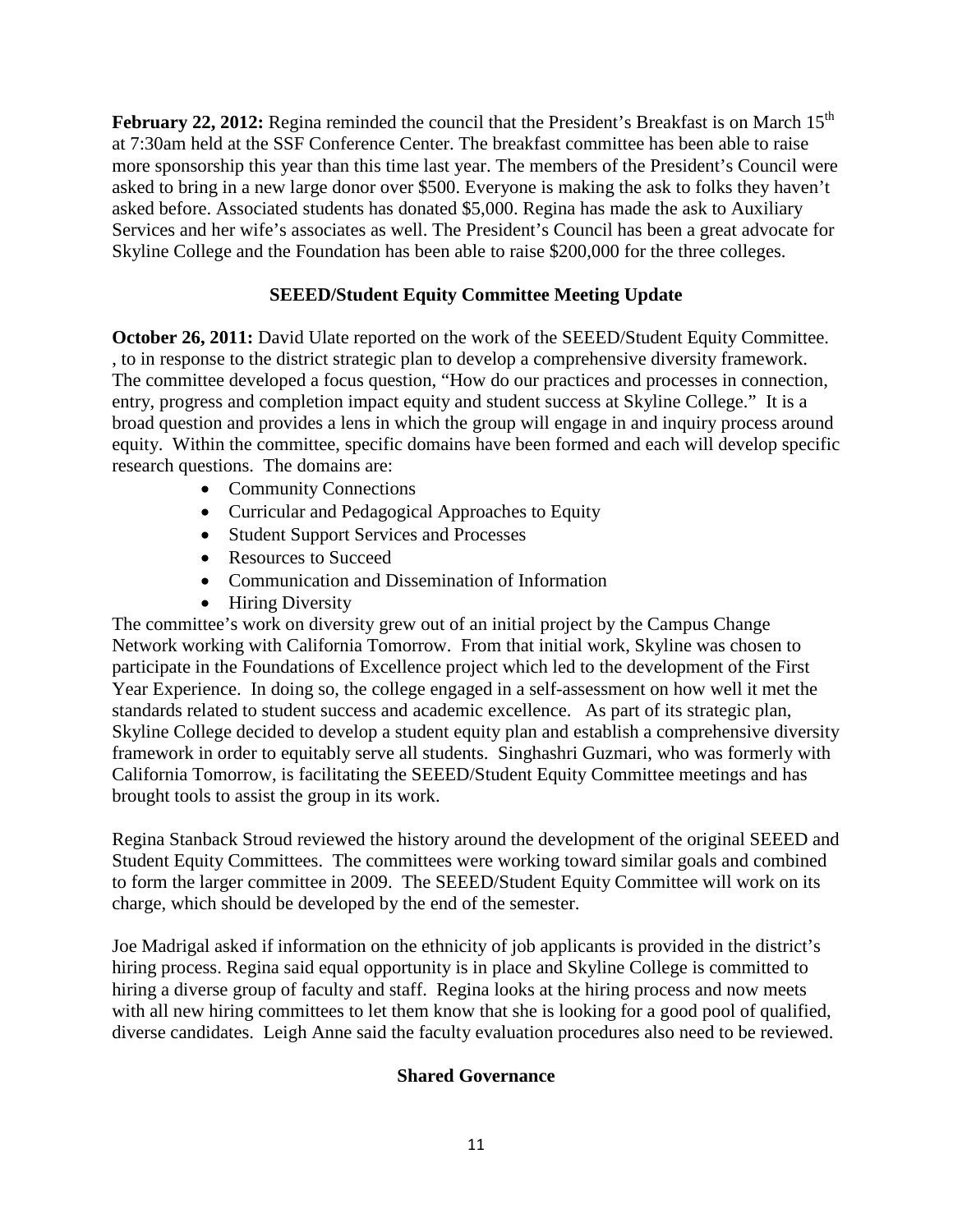**February 22, 2012:** Regina reminded the council that the President's Breakfast is on March 15<sup>th</sup> at 7:30am held at the SSF Conference Center. The breakfast committee has been able to raise more sponsorship this year than this time last year. The members of the President's Council were asked to bring in a new large donor over \$500. Everyone is making the ask to folks they haven't asked before. Associated students has donated \$5,000. Regina has made the ask to Auxiliary Services and her wife's associates as well. The President's Council has been a great advocate for Skyline College and the Foundation has been able to raise \$200,000 for the three colleges.

# **SEEED/Student Equity Committee Meeting Update**

**October 26, 2011:** David Ulate reported on the work of the SEEED/Student Equity Committee. , to in response to the district strategic plan to develop a comprehensive diversity framework. The committee developed a focus question, "How do our practices and processes in connection, entry, progress and completion impact equity and student success at Skyline College." It is a broad question and provides a lens in which the group will engage in and inquiry process around equity. Within the committee, specific domains have been formed and each will develop specific research questions. The domains are:

- Community Connections
- Curricular and Pedagogical Approaches to Equity
- Student Support Services and Processes
- Resources to Succeed
- Communication and Dissemination of Information
- Hiring Diversity

The committee's work on diversity grew out of an initial project by the Campus Change Network working with California Tomorrow. From that initial work, Skyline was chosen to participate in the Foundations of Excellence project which led to the development of the First Year Experience. In doing so, the college engaged in a self-assessment on how well it met the standards related to student success and academic excellence. As part of its strategic plan, Skyline College decided to develop a student equity plan and establish a comprehensive diversity framework in order to equitably serve all students. Singhashri Guzmari, who was formerly with California Tomorrow, is facilitating the SEEED/Student Equity Committee meetings and has brought tools to assist the group in its work.

Regina Stanback Stroud reviewed the history around the development of the original SEEED and Student Equity Committees. The committees were working toward similar goals and combined to form the larger committee in 2009. The SEEED/Student Equity Committee will work on its charge, which should be developed by the end of the semester.

Joe Madrigal asked if information on the ethnicity of job applicants is provided in the district's hiring process. Regina said equal opportunity is in place and Skyline College is committed to hiring a diverse group of faculty and staff. Regina looks at the hiring process and now meets with all new hiring committees to let them know that she is looking for a good pool of qualified, diverse candidates. Leigh Anne said the faculty evaluation procedures also need to be reviewed.

## **Shared Governance**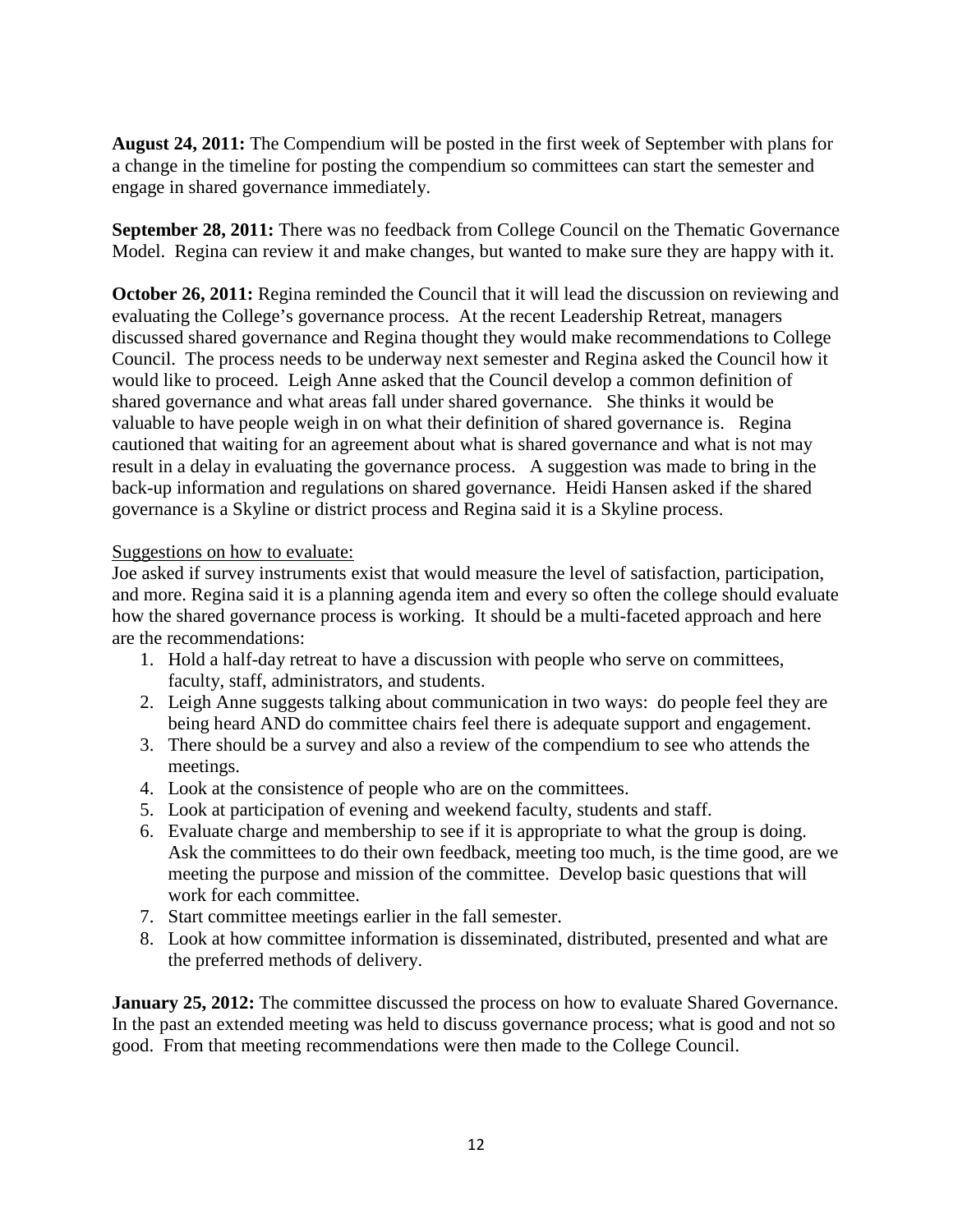**August 24, 2011:** The Compendium will be posted in the first week of September with plans for a change in the timeline for posting the compendium so committees can start the semester and engage in shared governance immediately.

**September 28, 2011:** There was no feedback from College Council on the Thematic Governance Model. Regina can review it and make changes, but wanted to make sure they are happy with it.

**October 26, 2011:** Regina reminded the Council that it will lead the discussion on reviewing and evaluating the College's governance process. At the recent Leadership Retreat, managers discussed shared governance and Regina thought they would make recommendations to College Council. The process needs to be underway next semester and Regina asked the Council how it would like to proceed. Leigh Anne asked that the Council develop a common definition of shared governance and what areas fall under shared governance. She thinks it would be valuable to have people weigh in on what their definition of shared governance is. Regina cautioned that waiting for an agreement about what is shared governance and what is not may result in a delay in evaluating the governance process. A suggestion was made to bring in the back-up information and regulations on shared governance. Heidi Hansen asked if the shared governance is a Skyline or district process and Regina said it is a Skyline process.

#### Suggestions on how to evaluate:

Joe asked if survey instruments exist that would measure the level of satisfaction, participation, and more. Regina said it is a planning agenda item and every so often the college should evaluate how the shared governance process is working. It should be a multi-faceted approach and here are the recommendations:

- 1. Hold a half-day retreat to have a discussion with people who serve on committees, faculty, staff, administrators, and students.
- 2. Leigh Anne suggests talking about communication in two ways: do people feel they are being heard AND do committee chairs feel there is adequate support and engagement.
- 3. There should be a survey and also a review of the compendium to see who attends the meetings.
- 4. Look at the consistence of people who are on the committees.
- 5. Look at participation of evening and weekend faculty, students and staff.
- 6. Evaluate charge and membership to see if it is appropriate to what the group is doing. Ask the committees to do their own feedback, meeting too much, is the time good, are we meeting the purpose and mission of the committee. Develop basic questions that will work for each committee.
- 7. Start committee meetings earlier in the fall semester.
- 8. Look at how committee information is disseminated, distributed, presented and what are the preferred methods of delivery.

**January 25, 2012:** The committee discussed the process on how to evaluate Shared Governance. In the past an extended meeting was held to discuss governance process; what is good and not so good. From that meeting recommendations were then made to the College Council.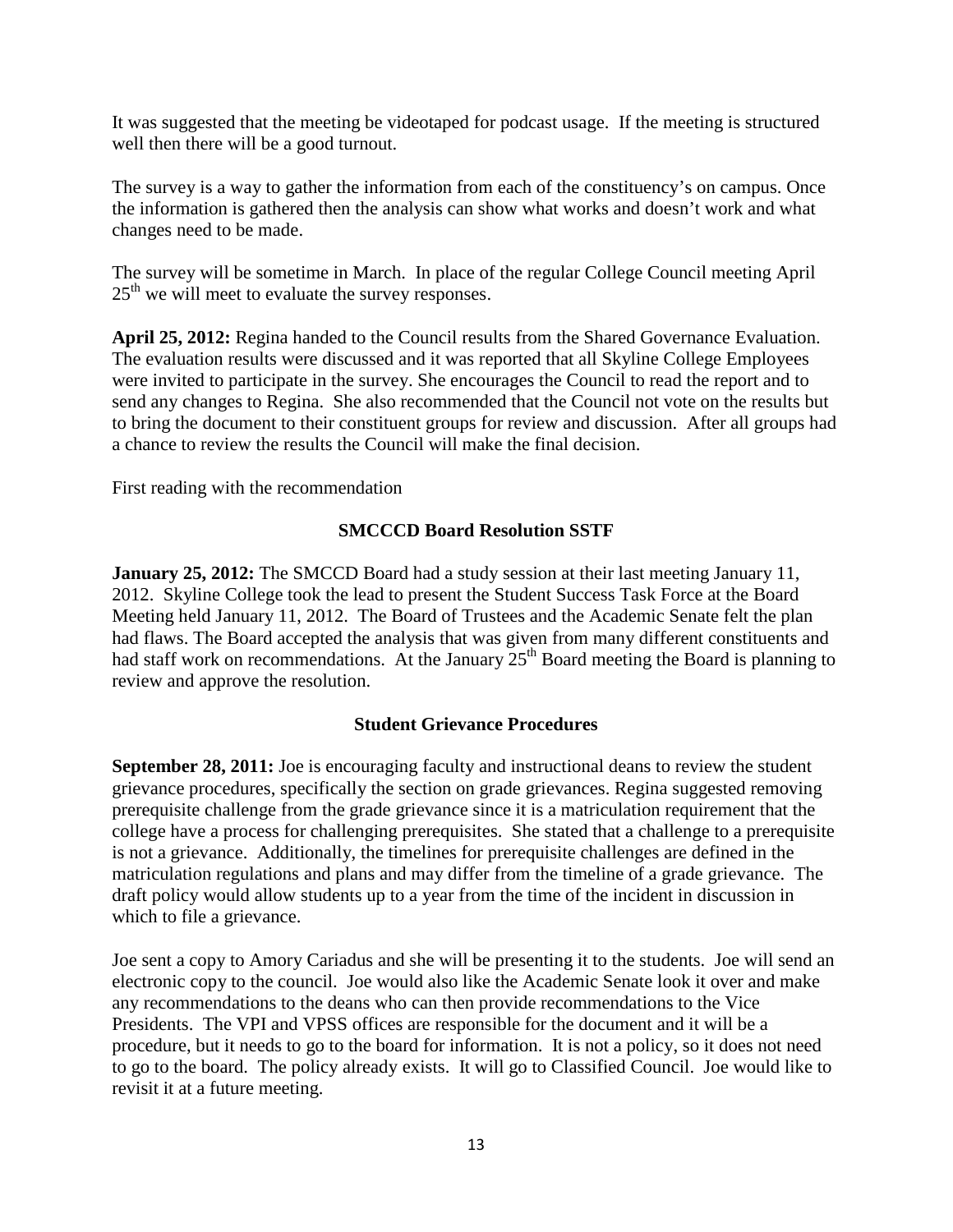It was suggested that the meeting be videotaped for podcast usage. If the meeting is structured well then there will be a good turnout.

The survey is a way to gather the information from each of the constituency's on campus. Once the information is gathered then the analysis can show what works and doesn't work and what changes need to be made.

The survey will be sometime in March. In place of the regular College Council meeting April  $25<sup>th</sup>$  we will meet to evaluate the survey responses.

**April 25, 2012:** Regina handed to the Council results from the Shared Governance Evaluation. The evaluation results were discussed and it was reported that all Skyline College Employees were invited to participate in the survey. She encourages the Council to read the report and to send any changes to Regina. She also recommended that the Council not vote on the results but to bring the document to their constituent groups for review and discussion. After all groups had a chance to review the results the Council will make the final decision.

First reading with the recommendation

## **SMCCCD Board Resolution SSTF**

**January 25, 2012:** The SMCCD Board had a study session at their last meeting January 11, 2012. Skyline College took the lead to present the Student Success Task Force at the Board Meeting held January 11, 2012. The Board of Trustees and the Academic Senate felt the plan had flaws. The Board accepted the analysis that was given from many different constituents and had staff work on recommendations. At the January  $25<sup>th</sup>$  Board meeting the Board is planning to review and approve the resolution.

#### **Student Grievance Procedures**

**September 28, 2011:** Joe is encouraging faculty and instructional deans to review the student grievance procedures, specifically the section on grade grievances. Regina suggested removing prerequisite challenge from the grade grievance since it is a matriculation requirement that the college have a process for challenging prerequisites. She stated that a challenge to a prerequisite is not a grievance. Additionally, the timelines for prerequisite challenges are defined in the matriculation regulations and plans and may differ from the timeline of a grade grievance. The draft policy would allow students up to a year from the time of the incident in discussion in which to file a grievance.

Joe sent a copy to Amory Cariadus and she will be presenting it to the students. Joe will send an electronic copy to the council. Joe would also like the Academic Senate look it over and make any recommendations to the deans who can then provide recommendations to the Vice Presidents. The VPI and VPSS offices are responsible for the document and it will be a procedure, but it needs to go to the board for information. It is not a policy, so it does not need to go to the board. The policy already exists. It will go to Classified Council. Joe would like to revisit it at a future meeting.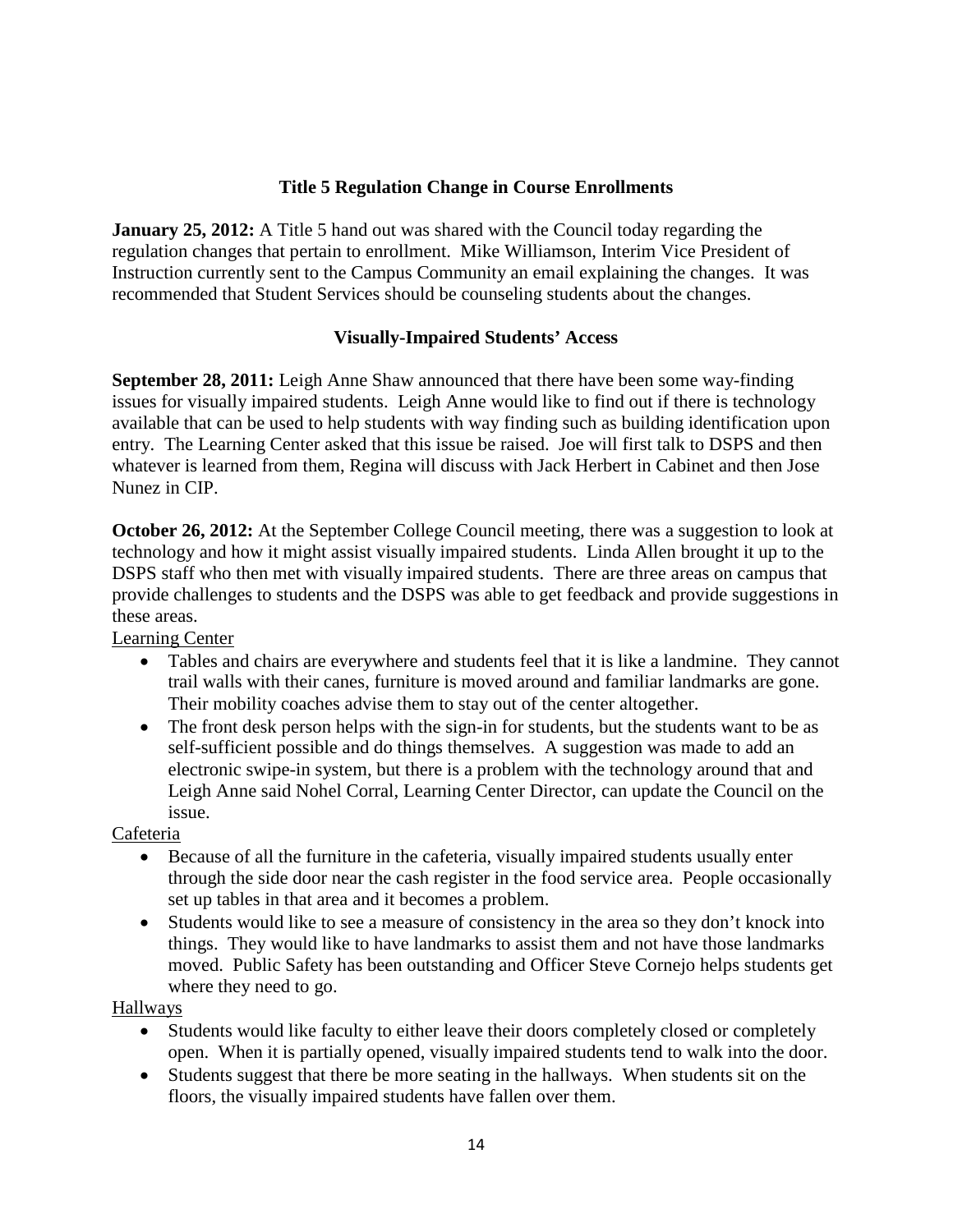# **Title 5 Regulation Change in Course Enrollments**

**January 25, 2012:** A Title 5 hand out was shared with the Council today regarding the regulation changes that pertain to enrollment. Mike Williamson, Interim Vice President of Instruction currently sent to the Campus Community an email explaining the changes. It was recommended that Student Services should be counseling students about the changes.

### **Visually-Impaired Students' Access**

**September 28, 2011:** Leigh Anne Shaw announced that there have been some way-finding issues for visually impaired students. Leigh Anne would like to find out if there is technology available that can be used to help students with way finding such as building identification upon entry. The Learning Center asked that this issue be raised. Joe will first talk to DSPS and then whatever is learned from them, Regina will discuss with Jack Herbert in Cabinet and then Jose Nunez in CIP.

**October 26, 2012:** At the September College Council meeting, there was a suggestion to look at technology and how it might assist visually impaired students. Linda Allen brought it up to the DSPS staff who then met with visually impaired students. There are three areas on campus that provide challenges to students and the DSPS was able to get feedback and provide suggestions in these areas.

Learning Center

- Tables and chairs are everywhere and students feel that it is like a landmine. They cannot trail walls with their canes, furniture is moved around and familiar landmarks are gone. Their mobility coaches advise them to stay out of the center altogether.
- The front desk person helps with the sign-in for students, but the students want to be as self-sufficient possible and do things themselves. A suggestion was made to add an electronic swipe-in system, but there is a problem with the technology around that and Leigh Anne said Nohel Corral, Learning Center Director, can update the Council on the issue.

Cafeteria

- Because of all the furniture in the cafeteria, visually impaired students usually enter through the side door near the cash register in the food service area. People occasionally set up tables in that area and it becomes a problem.
- Students would like to see a measure of consistency in the area so they don't knock into things. They would like to have landmarks to assist them and not have those landmarks moved. Public Safety has been outstanding and Officer Steve Cornejo helps students get where they need to go.

#### Hallways

- Students would like faculty to either leave their doors completely closed or completely open. When it is partially opened, visually impaired students tend to walk into the door.
- Students suggest that there be more seating in the hallways. When students sit on the floors, the visually impaired students have fallen over them.